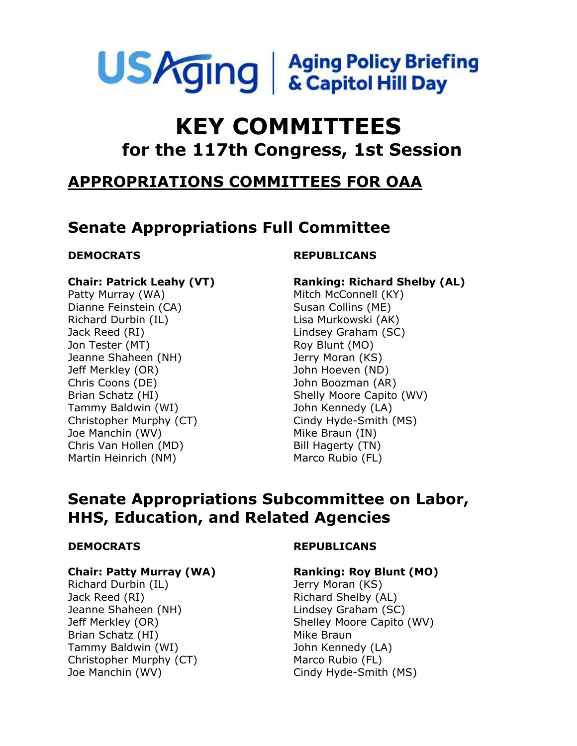

# **KEY COMMITTEES for the 117th Congress, 1st Session**

## **APPROPRIATIONS COMMITTEES FOR OAA**

## **Senate Appropriations Full Committee**

### **Chair: Patrick Leahy (VT)**

Patty Murray (WA) Dianne Feinstein (CA) Richard Durbin (IL) Jack Reed (RI) Jon Tester (MT) Jeanne Shaheen (NH) Jeff Merkley (OR) Chris Coons (DE) Brian Schatz (HI) Tammy Baldwin (WI) Christopher Murphy (CT) Joe Manchin (WV) Chris Van Hollen (MD) Martin Heinrich (NM)

### **DEMOCRATS REPUBLICANS**

**Ranking: Richard Shelby (AL)** Mitch McConnell (KY) Susan Collins (ME) Lisa Murkowski (AK) Lindsey Graham (SC) Roy Blunt (MO) Jerry Moran (KS) John Hoeven (ND) John Boozman (AR) Shelly Moore Capito (WV) John Kennedy (LA) Cindy Hyde-Smith (MS) Mike Braun (IN) Bill Hagerty (TN) Marco Rubio (FL)

## **Senate Appropriations Subcommittee on Labor, HHS, Education, and Related Agencies**

### **Chair: Patty Murray (WA)**

Richard Durbin (IL) Jack Reed (RI) Jeanne Shaheen (NH) Jeff Merkley (OR) Brian Schatz (HI) Tammy Baldwin (WI) Christopher Murphy (CT) Joe Manchin (WV)

### **DEMOCRATS REPUBLICANS**

### **Ranking: Roy Blunt (MO)**

Jerry Moran (KS) Richard Shelby (AL) Lindsey Graham (SC) Shelley Moore Capito (WV) Mike Braun John Kennedy (LA) Marco Rubio (FL) Cindy Hyde-Smith (MS)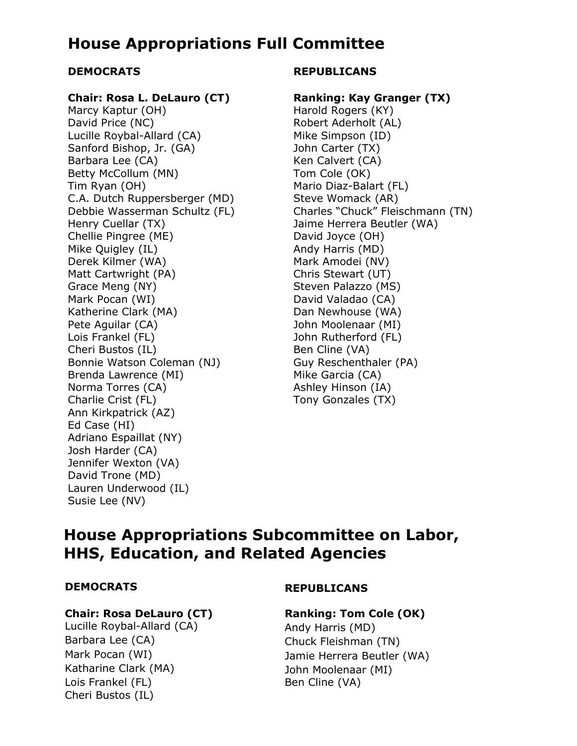## **House Appropriations Full Committee**

### **Chair: Rosa L. DeLauro (CT)**

Marcy Kaptur (OH) David Price (NC) Lucille Roybal-Allard (CA) Sanford Bishop, Jr. (GA) Barbara Lee (CA) Betty McCollum (MN) Tim Ryan (OH) C.A. Dutch Ruppersberger (MD) Debbie Wasserman Schultz (FL) Henry Cuellar (TX) Chellie Pingree (ME) Mike Quigley (IL) Derek Kilmer (WA) Matt Cartwright (PA) Grace Meng (NY) Mark Pocan (WI) Katherine Clark (MA) Pete Aguilar (CA) Lois Frankel (FL) Cheri Bustos (IL) Bonnie Watson Coleman (NJ) Brenda Lawrence (MI) Norma Torres (CA) Charlie Crist (FL) Ann Kirkpatrick (AZ) Ed Case (HI) Adriano Espaillat (NY) Josh Harder (CA) Jennifer Wexton (VA) David Trone (MD) Lauren Underwood (IL) Susie Lee (NV)

### **DEMOCRATS REPUBLICANS**

#### **Ranking: Kay Granger (TX)**

Harold Rogers (KY) Robert Aderholt (AL) Mike Simpson (ID) John Carter (TX) Ken Calvert (CA) Tom Cole (OK) Mario Diaz-Balart (FL) Steve Womack (AR) Charles "Chuck" Fleischmann (TN) Jaime Herrera Beutler (WA) David Joyce (OH) Andy Harris (MD) Mark Amodei (NV) Chris Stewart (UT) Steven Palazzo (MS) David Valadao (CA) Dan Newhouse (WA) John Moolenaar (MI) John Rutherford (FL) Ben Cline (VA) Guy Reschenthaler (PA) Mike Garcia (CA) Ashley Hinson (IA) Tony Gonzales (TX)

## **House Appropriations Subcommittee on Labor, HHS, Education, and Related Agencies**

#### **Chair: Rosa DeLauro (CT) Ranking: Tom Cole (OK)**

Lucille Roybal-Allard (CA) Andy Harris (MD) Barbara Lee (CA) Chuck Fleishman (TN) Katharine Clark (MA) John Moolenaar (MI) Lois Frankel (FL) Cheri Bustos (IL)

### **DEMOCRATS REPUBLICANS**

Mark Pocan (WI) Jamie Herrera Beutler (WA) Ben Cline (VA)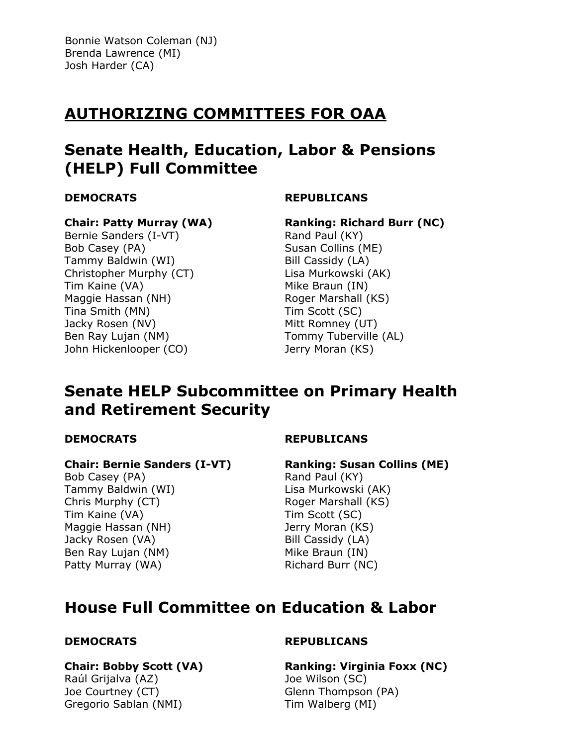Bonnie Watson Coleman (NJ) Brenda Lawrence (MI) Josh Harder (CA)

## **AUTHORIZING COMMITTEES FOR OAA**

## **Senate Health, Education, Labor & Pensions (HELP) Full Committee**

#### **DEMOCRATS**

## **REPUBLICANS**

#### **Chair: Patty Murray (WA)**

Bernie Sanders (I-VT) Bob Casey (PA) Tammy Baldwin (WI) Christopher Murphy (CT) Tim Kaine (VA) Maggie Hassan (NH) Tina Smith (MN) Jacky Rosen (NV) Ben Ray Lujan (NM) John Hickenlooper (CO)

### **Ranking: Richard Burr (NC)**

Rand Paul (KY) Susan Collins (ME) Bill Cassidy (LA) Lisa Murkowski (AK) Mike Braun (IN) Roger Marshall (KS) Tim Scott (SC) Mitt Romney (UT) Tommy Tuberville (AL) Jerry Moran (KS)

## **Senate HELP Subcommittee on Primary Health and Retirement Security**

### **DEMOCRATS**

### **REPUBLICANS**

### **Chair: Bernie Sanders (I-VT)**

Bob Casey (PA) Tammy Baldwin (WI) Chris Murphy (CT) Tim Kaine (VA) Maggie Hassan (NH) Jacky Rosen (VA) Ben Ray Lujan (NM) Patty Murray (WA)

**Ranking: Susan Collins (ME)**

Rand Paul (KY) Lisa Murkowski (AK) Roger Marshall (KS) Tim Scott (SC) Jerry Moran (KS) Bill Cassidy (LA) Mike Braun (IN) Richard Burr (NC)

## **House Full Committee on Education & Labor**

### **DEMOCRATS**

#### **Chair: Bobby Scott (VA)**

Raúl Grijalva (AZ) Joe Courtney (CT) Gregorio Sablan (NMI)

#### **REPUBLICANS**

**Ranking: Virginia Foxx (NC)** Joe Wilson (SC) Glenn Thompson (PA) Tim Walberg (MI)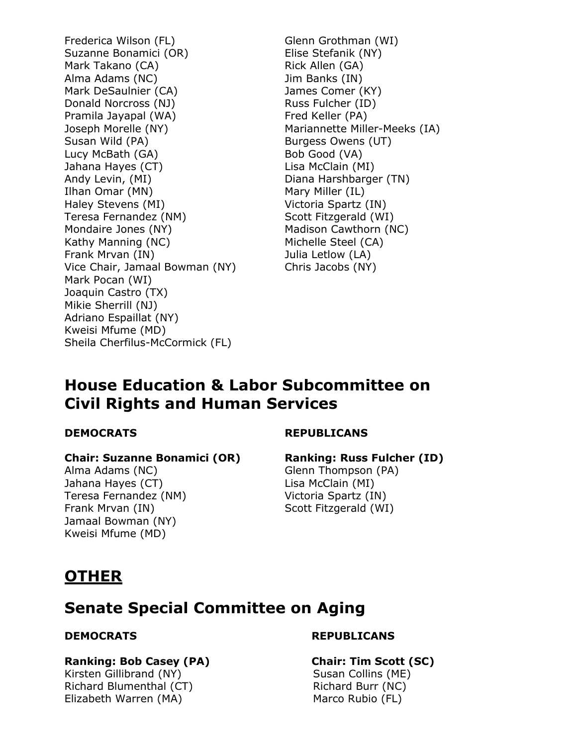Frederica Wilson (FL) Suzanne Bonamici (OR) Mark Takano (CA) Alma Adams (NC) Mark DeSaulnier (CA) Donald Norcross (NJ) Pramila Jayapal (WA) Joseph Morelle (NY) Susan Wild (PA) Lucy McBath (GA) Jahana Hayes (CT) Andy Levin, (MI) Ilhan Omar (MN) Haley Stevens (MI) Teresa Fernandez (NM) Mondaire Jones (NY) Kathy Manning (NC) Frank Mrvan (IN) Vice Chair, Jamaal Bowman (NY) Mark Pocan (WI) Joaquin Castro (TX) Mikie Sherrill (NJ) Adriano Espaillat (NY) Kweisi Mfume (MD) Sheila Cherfilus-McCormick (FL)

Glenn Grothman (WI) Elise Stefanik (NY) Rick Allen (GA) Jim Banks (IN) James Comer (KY) Russ Fulcher (ID) Fred Keller (PA) Mariannette Miller-Meeks (IA) Burgess Owens (UT) Bob Good (VA) Lisa McClain (MI) Diana Harshbarger (TN) Mary Miller (IL) Victoria Spartz (IN) Scott Fitzgerald (WI) Madison Cawthorn (NC) Michelle Steel (CA) Julia Letlow (LA) Chris Jacobs (NY)

## **House Education & Labor Subcommittee on Civil Rights and Human Services**

### **DEMOCRATS**

### **REPUBLICANS**

### **Chair: Suzanne Bonamici (OR)**

Alma Adams (NC) Jahana Hayes (CT) Teresa Fernandez (NM) Frank Mrvan (IN) Jamaal Bowman (NY) Kweisi Mfume (MD)

### **Ranking: Russ Fulcher (ID)**

Glenn Thompson (PA) Lisa McClain (MI) Victoria Spartz (IN) Scott Fitzgerald (WI)

## **OTHER**

## **Senate Special Committee on Aging**

### **Ranking: Bob Casey (PA) Chair: Tim Scott (SC)**

 Kirsten Gillibrand (NY) Richard Blumenthal (CT) Elizabeth Warren (MA)

### **DEMOCRATS REPUBLICANS**

## Susan Collins (ME) Richard Burr (NC) Marco Rubio (FL)